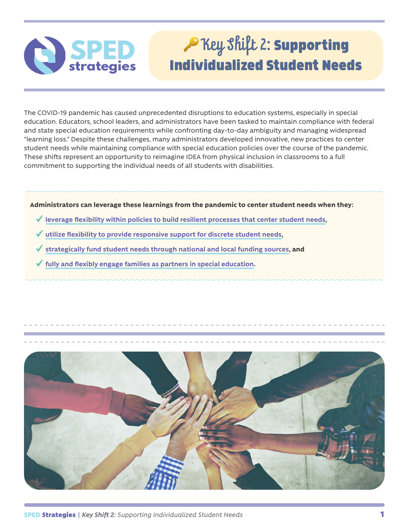# Rey Shift 2: Supporting Individualized Student Needs

The COVID-19 pandemic has caused unprecedented disruptions to education systems, especially in special education. Educators, school leaders, and administrators have been tasked to maintain compliance with federal and state special education requirements while confronting day-to-day ambiguity and managing widespread "learning loss." Despite these challenges, many administrators developed innovative, new practices to center student needs while maintaining compliance with special education policies over the course of the pandemic. These shifts represent an opportunity to reimagine IDEA from physical inclusion in classrooms to a full commitment to supporting the individual needs of all students with disabilities.

**Administrators can leverage these learnings from the pandemic to center student needs when they:**

- **[leverage flexibility within policies to build resilient processes that center student needs](#page-1-0),**
- **[utilize flexibility to provide responsive support for discrete student needs](#page-2-0),**
- **[strategically fund student needs through national and local funding sources](#page-3-0), and**
- **[fully and flexibly engage families as partners in special education](#page-4-0).**

SPED

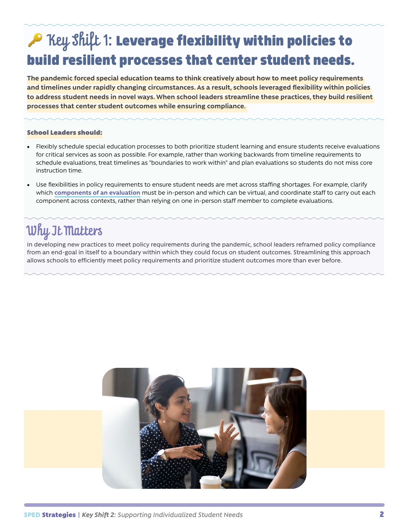## <span id="page-1-0"></span>Rey Shift 1: Leverage flexibility within policies to build resilient processes that center student needs.

**The pandemic forced special education teams to think creatively about how to meet policy requirements and timelines under rapidly changing circumstances. As a result, schools leveraged flexibility within policies to address student needs in novel ways. When school leaders streamline these practices, they build resilient processes that center student outcomes while ensuring compliance.** 

#### School Leaders should:

- Flexibly schedule special education processes to both prioritize student learning and ensure students receive evaluations for critical services as soon as possible. For example, rather than working backwards from timeline requirements to schedule evaluations, treat timelines as "boundaries to work within" and plan evaluations so students do not miss core instruction time.
- Use flexibilities in policy requirements to ensure student needs are met across staffing shortages. For example, clarify which **[components of an evaluation](https://www.apaservices.org/practice/reimbursement/health-codes/testing/tele-assessment-covid-19)** must be in-person and which can be virtual, and coordinate staff to carry out each component across contexts, rather than relying on one in-person staff member to complete evaluations.

### Why It Matters

In developing new practices to meet policy requirements during the pandemic, school leaders reframed policy compliance from an end-goal in itself to a boundary within which they could focus on student outcomes. Streamlining this approach allows schools to efficiently meet policy requirements and prioritize student outcomes more than ever before.

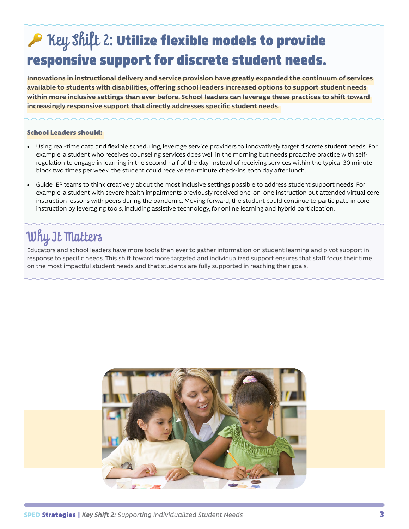## <span id="page-2-0"></span>A Key Shift 2: Utilize flexible models to provide responsive support for discrete student needs.

**Innovations in instructional delivery and service provision have greatly expanded the continuum of services available to students with disabilities, offering school leaders increased options to support student needs within more inclusive settings than ever before. School leaders can leverage these practices to shift toward increasingly responsive support that directly addresses specific student needs.** 

#### School Leaders should:

- Using real-time data and flexible scheduling, leverage service providers to innovatively target discrete student needs. For example, a student who receives counseling services does well in the morning but needs proactive practice with selfregulation to engage in learning in the second half of the day. Instead of receiving services within the typical 30 minute block two times per week, the student could receive ten-minute check-ins each day after lunch.
- Guide IEP teams to think creatively about the most inclusive settings possible to address student support needs. For example, a student with severe health impairments previously received one-on-one instruction but attended virtual core instruction lessons with peers during the pandemic. Moving forward, the student could continue to participate in core instruction by leveraging tools, including assistive technology, for online learning and hybrid participation.

#### Why It Matters

Educators and school leaders have more tools than ever to gather information on student learning and pivot support in response to specific needs. This shift toward more targeted and individualized support ensures that staff focus their time on the most impactful student needs and that students are fully supported in reaching their goals.

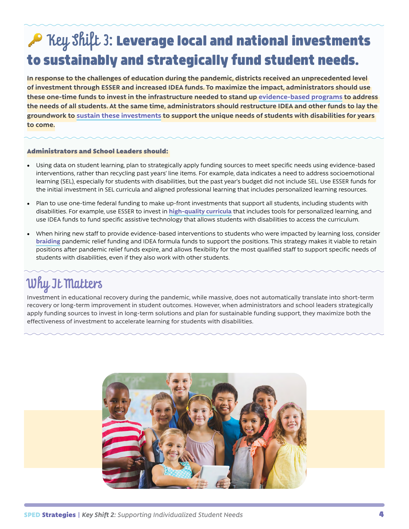# <span id="page-3-0"></span>AP Key Shift 3: Leverage local and national investments to sustainably and strategically fund student needs.

**In response to the challenges of education during the pandemic, districts received an unprecedented level of investment through ESSER and increased IDEA funds. To maximize the impact, administrators should use these one-time funds to invest in the infrastructure needed to stand up [evidence-based programs](https://www.ncld.org/reports-studies/promising-practices-to-accelerate-learning-for-students-with-disabilities-during-covid-19-and-beyond/part-1-research-based-approaches-to-accelerate-learning/) to address the needs of all students. At the same time, administrators should restructure IDEA and other funds to lay the groundwork to [sustain these investments](https://www.erstrategies.org/tap/district_spending_ESSER_funding_sustainability_investment_types) to support the unique needs of students with disabilities for years to come.**

#### Administrators and School Leaders should:

- Using data on student learning, plan to strategically apply funding sources to meet specific needs using evidence-based interventions, rather than recycling past years' line items. For example, data indicates a need to address socioemotional learning (SEL), especially for students with disabilities, but the past year's budget did not include SEL. Use ESSER funds for the initial investment in SEL curricula and aligned professional learning that includes personalized learning resources.
- Plan to use one-time federal funding to make up-front investments that support all students, including students with disabilities. For example, use ESSER to invest in **[high-quality curricula](https://edreports.org/)** that includes tools for personalized learning, and use IDEA funds to fund specific assistive technology that allows students with disabilities to access the curriculum.
- When hiring new staff to provide evidence-based interventions to students who were impacted by learning loss, consider **[braiding](https://ncsi.wested.org/wp-content/uploads/2020/05/NCSI-Blending_and_Braiding_Funds_to_Mitigate_the_Impact_of_COVID-19_on_the-Most_Vulnerable_Students.pdf)** pandemic relief funding and IDEA formula funds to support the positions. This strategy makes it viable to retain positions after pandemic relief funds expire, and allows flexibility for the most qualified staff to support specific needs of students with disabilities, even if they also work with other students.

### Why It Matters

Investment in educational recovery during the pandemic, while massive, does not automatically translate into short-term recovery or long-term improvement in student outcomes. However, when administrators and school leaders strategically apply funding sources to invest in long-term solutions and plan for sustainable funding support, they maximize both the effectiveness of investment to accelerate learning for students with disabilities.